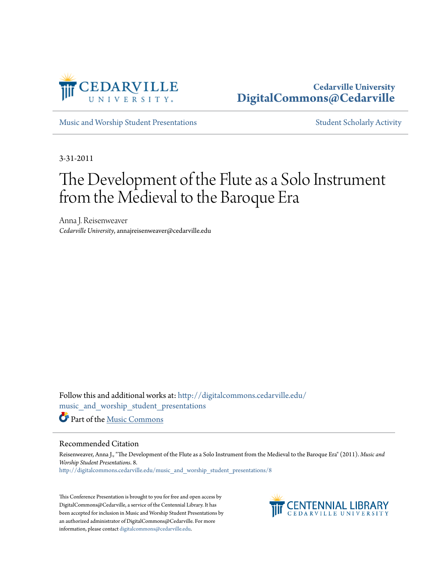

### **Cedarville University [DigitalCommons@Cedarville](http://digitalcommons.cedarville.edu?utm_source=digitalcommons.cedarville.edu%2Fmusic_and_worship_student_presentations%2F8&utm_medium=PDF&utm_campaign=PDFCoverPages)**

[Music and Worship Student Presentations](http://digitalcommons.cedarville.edu/music_and_worship_student_presentations?utm_source=digitalcommons.cedarville.edu%2Fmusic_and_worship_student_presentations%2F8&utm_medium=PDF&utm_campaign=PDFCoverPages) **[Student Scholarly Activity](http://digitalcommons.cedarville.edu/music_student_scholarly_activity?utm_source=digitalcommons.cedarville.edu%2Fmusic_and_worship_student_presentations%2F8&utm_medium=PDF&utm_campaign=PDFCoverPages)** Student Scholarly Activity

3-31-2011

# The Development of the Flute as a Solo Instrument from the Medieval to the Baroque Era

Anna J. Reisenweaver *Cedarville University*, annajreisenweaver@cedarville.edu

Follow this and additional works at: [http://digitalcommons.cedarville.edu/](http://digitalcommons.cedarville.edu/music_and_worship_student_presentations?utm_source=digitalcommons.cedarville.edu%2Fmusic_and_worship_student_presentations%2F8&utm_medium=PDF&utm_campaign=PDFCoverPages) [music\\_and\\_worship\\_student\\_presentations](http://digitalcommons.cedarville.edu/music_and_worship_student_presentations?utm_source=digitalcommons.cedarville.edu%2Fmusic_and_worship_student_presentations%2F8&utm_medium=PDF&utm_campaign=PDFCoverPages) Part of the [Music Commons](http://network.bepress.com/hgg/discipline/518?utm_source=digitalcommons.cedarville.edu%2Fmusic_and_worship_student_presentations%2F8&utm_medium=PDF&utm_campaign=PDFCoverPages)

#### Recommended Citation

Reisenweaver, Anna J., "The Development of the Flute as a Solo Instrument from the Medieval to the Baroque Era" (2011). *Music and Worship Student Presentations*. 8. [http://digitalcommons.cedarville.edu/music\\_and\\_worship\\_student\\_presentations/8](http://digitalcommons.cedarville.edu/music_and_worship_student_presentations/8?utm_source=digitalcommons.cedarville.edu%2Fmusic_and_worship_student_presentations%2F8&utm_medium=PDF&utm_campaign=PDFCoverPages)

This Conference Presentation is brought to you for free and open access by DigitalCommons@Cedarville, a service of the Centennial Library. It has been accepted for inclusion in Music and Worship Student Presentations by an authorized administrator of DigitalCommons@Cedarville. For more information, please contact [digitalcommons@cedarville.edu.](mailto:digitalcommons@cedarville.edu)

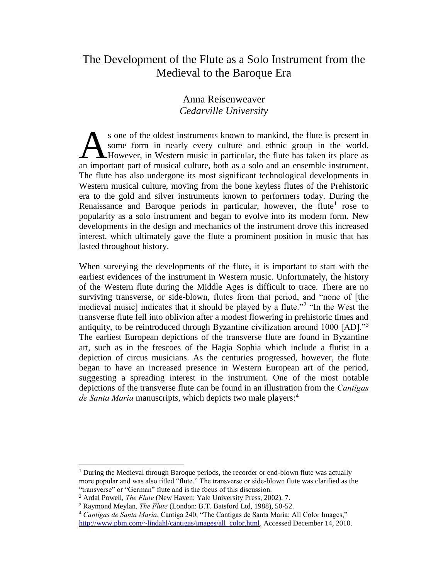## The Development of the Flute as a Solo Instrument from the Medieval to the Baroque Era

#### Anna Reisenweaver *Cedarville University*

s one of the oldest instruments known to mankind, the flute is present in some form in nearly every culture and ethnic group in the world. **A** However, in Western music in particular, the flute has taken its place as s one of the oldest instruments known to mankind, the flute is present in some form in nearly every culture and ethnic group in the world.<br>However, in Western music in particular, the flute has taken its place as an import The flute has also undergone its most significant technological developments in Western musical culture, moving from the bone keyless flutes of the Prehistoric era to the gold and silver instruments known to performers today. During the Renaissance and Baroque periods in particular, however, the flute<sup>1</sup> rose to popularity as a solo instrument and began to evolve into its modern form. New developments in the design and mechanics of the instrument drove this increased interest, which ultimately gave the flute a prominent position in music that has lasted throughout history.

When surveying the developments of the flute, it is important to start with the earliest evidences of the instrument in Western music. Unfortunately, the history of the Western flute during the Middle Ages is difficult to trace. There are no surviving transverse, or side-blown, flutes from that period, and "none of [the medieval music] indicates that it should be played by a flute."<sup>2</sup> "In the West the transverse flute fell into oblivion after a modest flowering in prehistoric times and antiquity, to be reintroduced through Byzantine civilization around 1000 [AD]."<sup>3</sup> The earliest European depictions of the transverse flute are found in Byzantine art, such as in the frescoes of the Hagia Sophia which include a flutist in a depiction of circus musicians. As the centuries progressed, however, the flute began to have an increased presence in Western European art of the period, suggesting a spreading interest in the instrument. One of the most notable depictions of the transverse flute can be found in an illustration from the *Cantigas de Santa Maria* manuscripts, which depicts two male players:<sup>4</sup>

<sup>&</sup>lt;sup>1</sup> During the Medieval through Baroque periods, the recorder or end-blown flute was actually more popular and was also titled "flute." The transverse or side-blown flute was clarified as the "transverse" or "German" flute and is the focus of this discussion.

<sup>2</sup> Ardal Powell, *The Flute* (New Haven: Yale University Press, 2002), 7.

<sup>3</sup> Raymond Meylan, *The Flute* (London: B.T. Batsford Ltd, 1988), 50-52.

<sup>4</sup> *Cantigas de Santa Maria*, Cantiga 240, "The Cantigas de Santa Maria: All Color Images," [http://www.pbm.com/~lindahl/cantigas/images/all\\_color.html.](http://www.pbm.com/~lindahl/cantigas/images/all_color.html) Accessed December 14, 2010.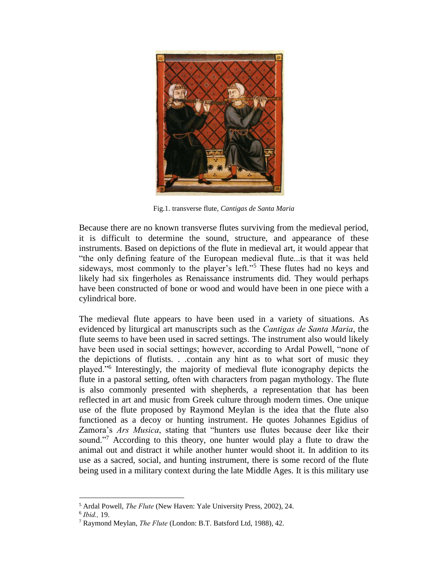

Fig.1. transverse flute, *Cantigas de Santa Maria*

Because there are no known transverse flutes surviving from the medieval period, it is difficult to determine the sound, structure, and appearance of these instruments. Based on depictions of the flute in medieval art, it would appear that "the only defining feature of the European medieval flute...is that it was held sideways, most commonly to the player's left."<sup>5</sup> These flutes had no keys and likely had six fingerholes as Renaissance instruments did. They would perhaps have been constructed of bone or wood and would have been in one piece with a cylindrical bore.

The medieval flute appears to have been used in a variety of situations. As evidenced by liturgical art manuscripts such as the *Cantigas de Santa Maria*, the flute seems to have been used in sacred settings. The instrument also would likely have been used in social settings; however, according to Ardal Powell, "none of the depictions of flutists. . .contain any hint as to what sort of music they played."<sup>6</sup> Interestingly, the majority of medieval flute iconography depicts the flute in a pastoral setting, often with characters from pagan mythology. The flute is also commonly presented with shepherds, a representation that has been reflected in art and music from Greek culture through modern times. One unique use of the flute proposed by Raymond Meylan is the idea that the flute also functioned as a decoy or hunting instrument. He quotes Johannes Egidius of Zamora's *Ars Musica*, stating that "hunters use flutes because deer like their sound."<sup>7</sup> According to this theory, one hunter would play a flute to draw the animal out and distract it while another hunter would shoot it. In addition to its use as a sacred, social, and hunting instrument, there is some record of the flute being used in a military context during the late Middle Ages. It is this military use

<sup>5</sup> Ardal Powell, *The Flute* (New Haven: Yale University Press, 2002), 24.

<sup>6</sup> *Ibid.,* 19.

<sup>7</sup> Raymond Meylan, *The Flute* (London: B.T. Batsford Ltd, 1988), 42.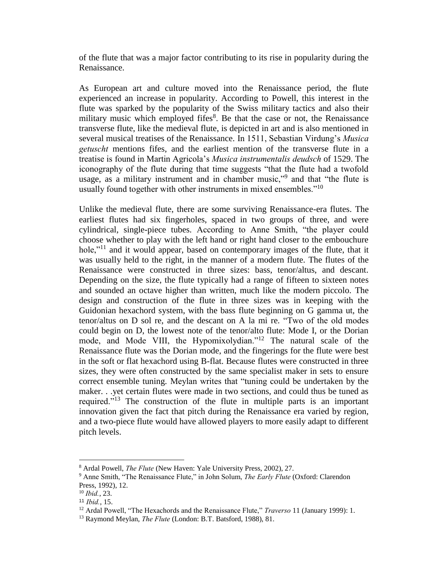of the flute that was a major factor contributing to its rise in popularity during the Renaissance.

As European art and culture moved into the Renaissance period, the flute experienced an increase in popularity. According to Powell, this interest in the flute was sparked by the popularity of the Swiss military tactics and also their military music which employed fifes<sup>8</sup>. Be that the case or not, the Renaissance transverse flute, like the medieval flute, is depicted in art and is also mentioned in several musical treatises of the Renaissance. In 1511, Sebastian Virdung's *Musica getuscht* mentions fifes, and the earliest mention of the transverse flute in a treatise is found in Martin Agricola's *Musica instrumentalis deudsch* of 1529. The iconography of the flute during that time suggests "that the flute had a twofold usage, as a military instrument and in chamber music,"<sup>9</sup> and that "the flute is usually found together with other instruments in mixed ensembles."<sup>10</sup>

Unlike the medieval flute, there are some surviving Renaissance-era flutes. The earliest flutes had six fingerholes, spaced in two groups of three, and were cylindrical, single-piece tubes. According to Anne Smith, "the player could choose whether to play with the left hand or right hand closer to the embouchure hole,"<sup>11</sup> and it would appear, based on contemporary images of the flute, that it was usually held to the right, in the manner of a modern flute. The flutes of the Renaissance were constructed in three sizes: bass, tenor/altus, and descant. Depending on the size, the flute typically had a range of fifteen to sixteen notes and sounded an octave higher than written, much like the modern piccolo. The design and construction of the flute in three sizes was in keeping with the Guidonian hexachord system, with the bass flute beginning on G gamma ut, the tenor/altus on D sol re, and the descant on A la mi re. "Two of the old modes could begin on D, the lowest note of the tenor/alto flute: Mode I, or the Dorian mode, and Mode VIII, the Hypomixolydian."<sup>12</sup> The natural scale of the Renaissance flute was the Dorian mode, and the fingerings for the flute were best in the soft or flat hexachord using B-flat. Because flutes were constructed in three sizes, they were often constructed by the same specialist maker in sets to ensure correct ensemble tuning. Meylan writes that "tuning could be undertaken by the maker. . .yet certain flutes were made in two sections, and could thus be tuned as required."<sup>13</sup> The construction of the flute in multiple parts is an important innovation given the fact that pitch during the Renaissance era varied by region, and a two-piece flute would have allowed players to more easily adapt to different pitch levels.

<sup>8</sup> Ardal Powell, *The Flute* (New Haven: Yale University Press, 2002), 27.

<sup>9</sup> Anne Smith, "The Renaissance Flute," in John Solum, *The Early Flute* (Oxford: Clarendon Press, 1992), 12.

<sup>10</sup> *Ibid.*, 23.

<sup>11</sup> *Ibid.*, 15.

<sup>&</sup>lt;sup>12</sup> Ardal Powell, "The Hexachords and the Renaissance Flute," *Traverso* 11 (January 1999): 1.

<sup>13</sup> Raymond Meylan, *The Flute* (London: B.T. Batsford, 1988), 81.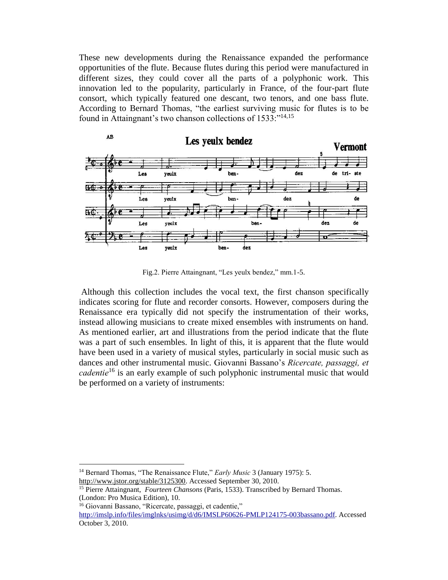These new developments during the Renaissance expanded the performance opportunities of the flute. Because flutes during this period were manufactured in different sizes, they could cover all the parts of a polyphonic work. This innovation led to the popularity, particularly in France, of the four-part flute consort, which typically featured one descant, two tenors, and one bass flute. According to Bernard Thomas, "the earliest surviving music for flutes is to be found in Attaingnant's two chanson collections of 1533:<sup>"14,15</sup>



Fig.2. Pierre Attaingnant, "Les yeulx bendez," mm.1-5.

Although this collection includes the vocal text, the first chanson specifically indicates scoring for flute and recorder consorts. However, composers during the Renaissance era typically did not specify the instrumentation of their works, instead allowing musicians to create mixed ensembles with instruments on hand. As mentioned earlier, art and illustrations from the period indicate that the flute was a part of such ensembles. In light of this, it is apparent that the flute would have been used in a variety of musical styles, particularly in social music such as dances and other instrumental music. Giovanni Bassano's *Ricercate, passaggi, et cadentie*<sup>16</sup> is an early example of such polyphonic instrumental music that would be performed on a variety of instruments:

<sup>&</sup>lt;sup>14</sup> Bernard Thomas, "The Renaissance Flute," *Early Music* 3 (January 1975): 5.

http://www.jstor.org/stable/3125300. Accessed September 30, 2010.

<sup>15</sup> Pierre Attaingnant, *Fourteen Chansons* (Paris, 1533). Transcribed by Bernard Thomas. (London: Pro Musica Edition), 10.

<sup>16</sup> Giovanni Bassano, "Ricercate, passaggi, et cadentie,"

[http://imslp.info/files/imglnks/usimg/d/d6/IMSLP60626-PMLP124175-003bassano.pdf.](http://imslp.info/files/imglnks/usimg/d/d6/IMSLP60626-PMLP124175-003bassano.pdf) Accessed October 3, 2010.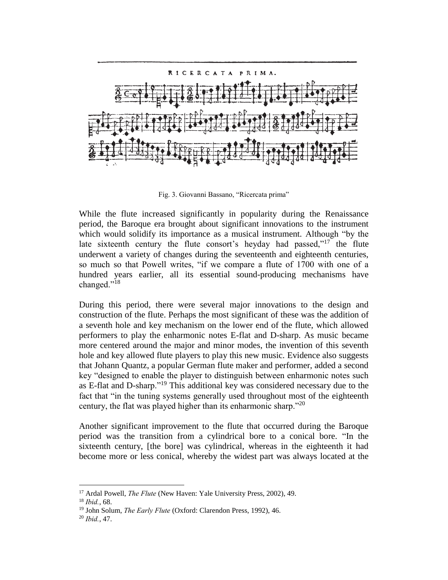

Fig. 3. Giovanni Bassano, "Ricercata prima"

While the flute increased significantly in popularity during the Renaissance period, the Baroque era brought about significant innovations to the instrument which would solidify its importance as a musical instrument. Although "by the late sixteenth century the flute consort's heyday had passed,"<sup>17</sup> the flute underwent a variety of changes during the seventeenth and eighteenth centuries, so much so that Powell writes, "if we compare a flute of 1700 with one of a hundred years earlier, all its essential sound-producing mechanisms have changed."<sup>18</sup>

During this period, there were several major innovations to the design and construction of the flute. Perhaps the most significant of these was the addition of a seventh hole and key mechanism on the lower end of the flute, which allowed performers to play the enharmonic notes E-flat and D-sharp. As music became more centered around the major and minor modes, the invention of this seventh hole and key allowed flute players to play this new music. Evidence also suggests that Johann Quantz, a popular German flute maker and performer, added a second key "designed to enable the player to distinguish between enharmonic notes such as E-flat and D-sharp."<sup>19</sup> This additional key was considered necessary due to the fact that "in the tuning systems generally used throughout most of the eighteenth century, the flat was played higher than its enharmonic sharp."<sup>20</sup>

Another significant improvement to the flute that occurred during the Baroque period was the transition from a cylindrical bore to a conical bore. "In the sixteenth century, [the bore] was cylindrical, whereas in the eighteenth it had become more or less conical, whereby the widest part was always located at the

<sup>17</sup> Ardal Powell, *The Flute* (New Haven: Yale University Press, 2002), 49.

<sup>18</sup> *Ibid.*, 68.

<sup>19</sup> John Solum, *The Early Flute* (Oxford: Clarendon Press, 1992), 46.

<sup>20</sup> *Ibid.*, 47.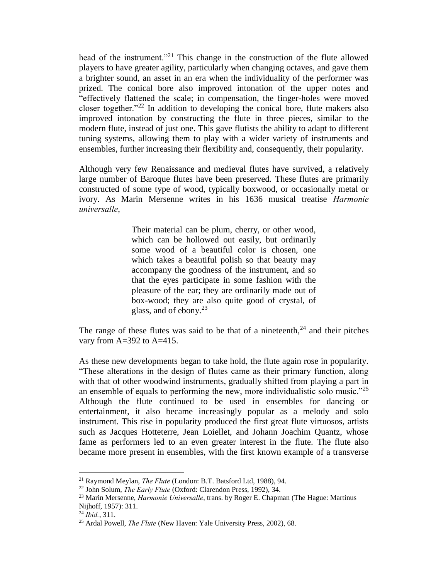head of the instrument."<sup>21</sup> This change in the construction of the flute allowed players to have greater agility, particularly when changing octaves, and gave them a brighter sound, an asset in an era when the individuality of the performer was prized. The conical bore also improved intonation of the upper notes and "effectively flattened the scale; in compensation, the finger-holes were moved closer together."<sup>22</sup> In addition to developing the conical bore, flute makers also improved intonation by constructing the flute in three pieces, similar to the modern flute, instead of just one. This gave flutists the ability to adapt to different tuning systems, allowing them to play with a wider variety of instruments and ensembles, further increasing their flexibility and, consequently, their popularity.

Although very few Renaissance and medieval flutes have survived, a relatively large number of Baroque flutes have been preserved. These flutes are primarily constructed of some type of wood, typically boxwood, or occasionally metal or ivory. As Marin Mersenne writes in his 1636 musical treatise *Harmonie universalle*,

> Their material can be plum, cherry, or other wood, which can be hollowed out easily, but ordinarily some wood of a beautiful color is chosen, one which takes a beautiful polish so that beauty may accompany the goodness of the instrument, and so that the eyes participate in some fashion with the pleasure of the ear; they are ordinarily made out of box-wood; they are also quite good of crystal, of glass, and of ebony.<sup>23</sup>

The range of these flutes was said to be that of a nineteenth, $24$  and their pitches vary from  $A=392$  to  $A=415$ .

As these new developments began to take hold, the flute again rose in popularity. "These alterations in the design of flutes came as their primary function, along with that of other woodwind instruments, gradually shifted from playing a part in an ensemble of equals to performing the new, more individualistic solo music.<sup> $25$ </sup> Although the flute continued to be used in ensembles for dancing or entertainment, it also became increasingly popular as a melody and solo instrument. This rise in popularity produced the first great flute virtuosos, artists such as Jacques Hotteterre, Jean Loiellet, and Johann Joachim Quantz, whose fame as performers led to an even greater interest in the flute. The flute also became more present in ensembles, with the first known example of a transverse

<sup>21</sup> Raymond Meylan, *The Flute* (London: B.T. Batsford Ltd, 1988), 94.

<sup>22</sup> John Solum, *The Early Flute* (Oxford: Clarendon Press, 1992), 34.

<sup>23</sup> Marin Mersenne, *Harmonie Universalle*, trans. by Roger E. Chapman (The Hague: Martinus Nijhoff, 1957): 311.

<sup>24</sup> *Ibid.*, 311.

<sup>25</sup> Ardal Powell, *The Flute* (New Haven: Yale University Press, 2002), 68.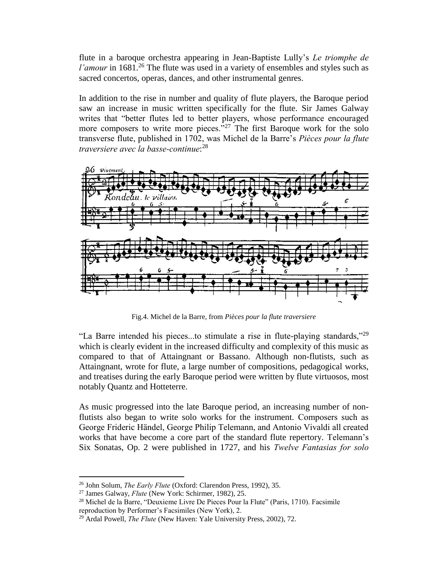flute in a baroque orchestra appearing in Jean-Baptiste Lully's *Le triomphe de l'amour* in 1681.<sup>26</sup> The flute was used in a variety of ensembles and styles such as sacred concertos, operas, dances, and other instrumental genres.

In addition to the rise in number and quality of flute players, the Baroque period saw an increase in music written specifically for the flute. Sir James Galway writes that "better flutes led to better players, whose performance encouraged more composers to write more pieces."<sup>27</sup> The first Baroque work for the solo transverse flute, published in 1702, was Michel de la Barre's *Pièces pour la flute traversiere avec la basse-continue*: 28



Fig.4. Michel de la Barre, from *Pièces pour la flute traversiere*

"La Barre intended his pieces...to stimulate a rise in flute-playing standards,"<sup>29</sup> which is clearly evident in the increased difficulty and complexity of this music as compared to that of Attaingnant or Bassano. Although non-flutists, such as Attaingnant, wrote for flute, a large number of compositions, pedagogical works, and treatises during the early Baroque period were written by flute virtuosos, most notably Quantz and Hotteterre.

As music progressed into the late Baroque period, an increasing number of nonflutists also began to write solo works for the instrument. Composers such as George Frideric Händel, George Philip Telemann, and Antonio Vivaldi all created works that have become a core part of the standard flute repertory. Telemann's Six Sonatas, Op. 2 were published in 1727, and his *Twelve Fantasias for solo* 

<sup>26</sup> John Solum, *The Early Flute* (Oxford: Clarendon Press, 1992), 35.

<sup>27</sup> James Galway, *Flute* (New York: Schirmer, 1982), 25.

<sup>&</sup>lt;sup>28</sup> Michel de la Barre, "Deuxieme Livre De Pieces Pour la Flute" (Paris, 1710). Facsimile reproduction by Performer's Facsimiles (New York), 2.

<sup>29</sup> Ardal Powell, *The Flute* (New Haven: Yale University Press, 2002), 72.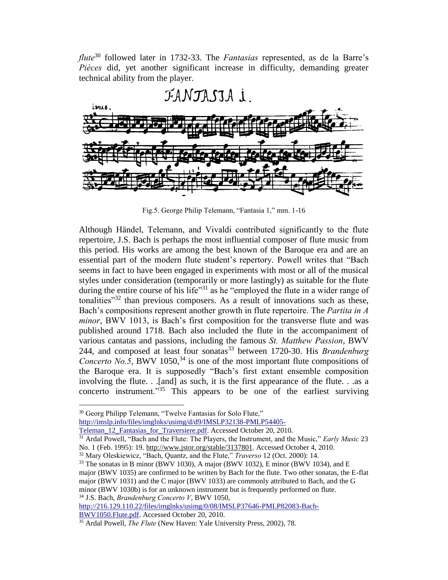*flute*<sup>30</sup> followed later in 1732-33. The *Fantasias* represented, as de la Barre's *Pièces* did, yet another significant increase in difficulty, demanding greater technical ability from the player.



Fig.5. George Philip Telemann, "Fantasia 1," mm. 1-16

Although Händel, Telemann, and Vivaldi contributed significantly to the flute repertoire, J.S. Bach is perhaps the most influential composer of flute music from this period. His works are among the best known of the Baroque era and are an essential part of the modern flute student's repertory. Powell writes that "Bach seems in fact to have been engaged in experiments with most or all of the musical styles under consideration (temporarily or more lastingly) as suitable for the flute during the entire course of his life"<sup>31</sup> as he "employed the flute in a wider range of tonalities<sup> $32$ </sup> than previous composers. As a result of innovations such as these, Bach's compositions represent another growth in flute repertoire. The *Partita in A minor*, BWV 1013, is Bach's first composition for the transverse flute and was published around 1718. Bach also included the flute in the accompaniment of various cantatas and passions, including the famous *St. Matthew Passion*, BWV 244, and composed at least four sonatas<sup>33</sup> between 1720-30. His *Brandenburg Concerto No.5*, BWV 1050,<sup>34</sup> is one of the most important flute compositions of the Baroque era. It is supposedly "Bach's first extant ensemble composition involving the flute. . .[and] as such, it is the first appearance of the flute. . .as a concerto instrument."<sup>35</sup> This appears to be one of the earliest surviving

 $\overline{a}$ 

<sup>32</sup> Mary Oleskiewicz, "Bach, Quantz, and the Flute," *Traverso* 12 (Oct. 2000): 14.

[http://216.129.110.22/files/imglnks/usimg/0/08/IMSLP37646-PMLP82083-Bach-](http://216.129.110.22/files/imglnks/usimg/0/08/IMSLP37646-PMLP82083-Bach-BWV1050.Flute.pdf)[BWV1050.Flute.pdf.](http://216.129.110.22/files/imglnks/usimg/0/08/IMSLP37646-PMLP82083-Bach-BWV1050.Flute.pdf) Accessed October 20, 2010.

<sup>&</sup>lt;sup>30</sup> Georg Philipp Telemann, "Twelve Fantasias for Solo Flute,"

[http://imslp.info/files/imglnks/usimg/d/d9/IMSLP32138-PMLP54405-](http://imslp.info/files/imglnks/usimg/d/d9/IMSLP32138-PMLP54405-Teleman_12_Fantasias_for_Traversiere.pdf)

[Teleman\\_12\\_Fantasias\\_for\\_Traversiere.pdf.](http://imslp.info/files/imglnks/usimg/d/d9/IMSLP32138-PMLP54405-Teleman_12_Fantasias_for_Traversiere.pdf) Accessed October 20, 2010.

<sup>31</sup> Ardal Powell, "Bach and the Flute: The Players, the Instrument, and the Music," *Early Music* 23 No. 1 (Feb. 1995): 19. http://www.jstor.org/stable/3137801. Accessed October 4, 2010.

 $33$  The sonatas in B minor (BWV 1030), A major (BWV 1032), E minor (BWV 1034), and E major (BWV 1035) are confirmed to be written by Bach for the flute. Two other sonatas, the E-flat major (BWV 1031) and the C major (BWV 1033) are commonly attributed to Bach, and the G minor (BWV 1030b) is for an unknown instrument but is frequently performed on flute. <sup>34</sup> J.S. Bach, *Brandenburg Concerto V*, BWV 1050,

<sup>35</sup> Ardal Powell, *The Flute* (New Haven: Yale University Press, 2002), 78.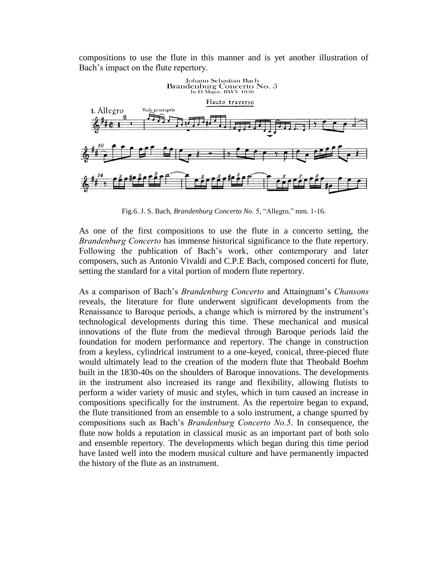compositions to use the flute in this manner and is yet another illustration of Bach's impact on the flute repertory.



Fig.6. J. S. Bach, *Brandenburg Concerto No.* 5, "Allegro," mm. 1-16.

As one of the first compositions to use the flute in a concerto setting, the *Brandenburg Concerto* has immense historical significance to the flute repertory. Following the publication of Bach's work, other contemporary and later composers, such as Antonio Vivaldi and C.P.E Bach, composed concerti for flute, setting the standard for a vital portion of modern flute repertory.

As a comparison of Bach's *Brandenburg Concerto* and Attaingnant's *Chansons* reveals, the literature for flute underwent significant developments from the Renaissance to Baroque periods, a change which is mirrored by the instrument's technological developments during this time. These mechanical and musical innovations of the flute from the medieval through Baroque periods laid the foundation for modern performance and repertory. The change in construction from a keyless, cylindrical instrument to a one-keyed, conical, three-pieced flute would ultimately lead to the creation of the modern flute that Theobald Boehm built in the 1830-40s on the shoulders of Baroque innovations. The developments in the instrument also increased its range and flexibility, allowing flutists to perform a wider variety of music and styles, which in turn caused an increase in compositions specifically for the instrument. As the repertoire began to expand, the flute transitioned from an ensemble to a solo instrument, a change spurred by compositions such as Bach's *Brandenburg Concerto No.5*. In consequence, the flute now holds a reputation in classical music as an important part of both solo and ensemble repertory. The developments which began during this time period have lasted well into the modern musical culture and have permanently impacted the history of the flute as an instrument.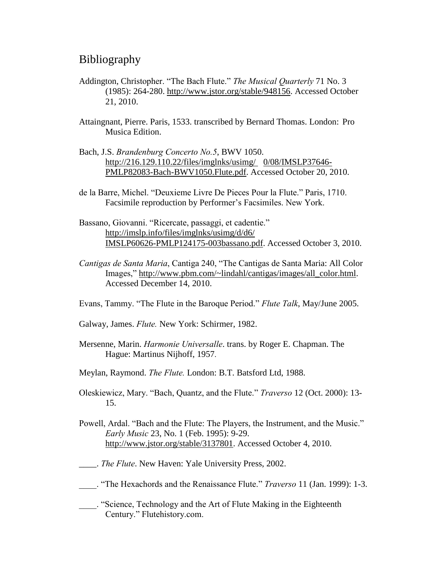# Bibliography

- Addington, Christopher. "The Bach Flute." *The Musical Quarterly* 71 No. 3 (1985): 264-280. http://www.jstor.org/stable/948156. Accessed October 21, 2010.
- Attaingnant, Pierre. Paris, 1533. transcribed by Bernard Thomas. London: Pro Musica Edition.
- Bach, J.S. *Brandenburg Concerto No.5*, BWV 1050. http://216.129.110.22/files/imglnks/usimg/ 0/08/IMSLP37646- PMLP82083-Bach-BWV1050.Flute.pdf. Accessed October 20, 2010.
- de la Barre, Michel. "Deuxieme Livre De Pieces Pour la Flute." Paris, 1710. Facsimile reproduction by Performer's Facsimiles. New York.
- Bassano, Giovanni. "Ricercate, passaggi, et cadentie." http://imslp.info/files/imglnks/usimg/d/d6/ IMSLP60626-PMLP124175-003bassano.pdf. Accessed October 3, 2010.
- *Cantigas de Santa Maria*, Cantiga 240, "The Cantigas de Santa Maria: All Color Images," http://www.pbm.com/~lindahl/cantigas/images/all\_color.html. Accessed December 14, 2010.
- Evans, Tammy. "The Flute in the Baroque Period." *Flute Talk*, May/June 2005.
- Galway, James. *Flute.* New York: Schirmer, 1982.
- Mersenne, Marin. *Harmonie Universalle*. trans. by Roger E. Chapman. The Hague: Martinus Nijhoff, 1957.
- Meylan, Raymond. *The Flute.* London: B.T. Batsford Ltd, 1988.
- Oleskiewicz, Mary. "Bach, Quantz, and the Flute." *Traverso* 12 (Oct. 2000): 13- 15.
- Powell, Ardal. "Bach and the Flute: The Players, the Instrument, and the Music." *Early Music* 23, No. 1 (Feb. 1995): 9-29. http://www.jstor.org/stable/3137801. Accessed October 4, 2010.
- \_\_\_\_. *The Flute*. New Haven: Yale University Press, 2002.
- \_\_\_\_. "The Hexachords and the Renaissance Flute." *Traverso* 11 (Jan. 1999): 1-3.
- \_\_\_\_. "Science, Technology and the Art of Flute Making in the Eighteenth Century." Flutehistory.com.